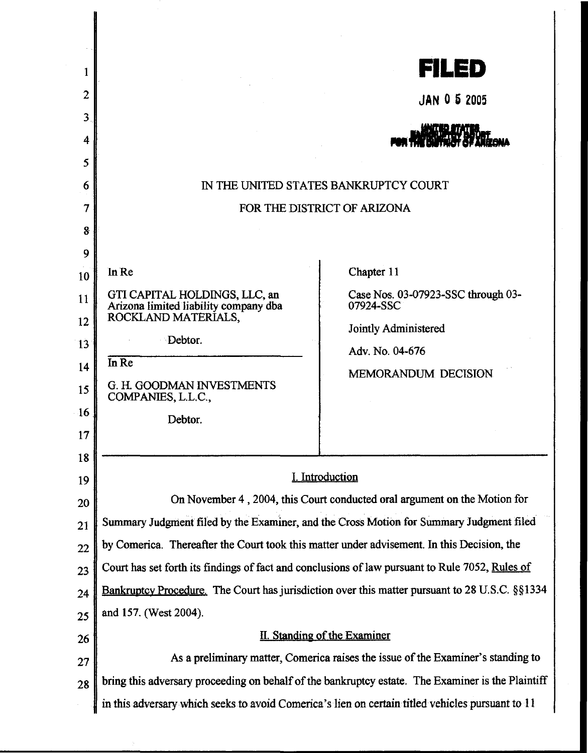| 1  |                                                                                                                                                                                                       | <b>FILED</b>                                                                                   |
|----|-------------------------------------------------------------------------------------------------------------------------------------------------------------------------------------------------------|------------------------------------------------------------------------------------------------|
| 2  |                                                                                                                                                                                                       | <b>JAN 0 5 2005</b>                                                                            |
| 3  |                                                                                                                                                                                                       |                                                                                                |
| 4  |                                                                                                                                                                                                       |                                                                                                |
| 5  |                                                                                                                                                                                                       |                                                                                                |
| 6  | IN THE UNITED STATES BANKRUPTCY COURT                                                                                                                                                                 |                                                                                                |
| 7  | FOR THE DISTRICT OF ARIZONA                                                                                                                                                                           |                                                                                                |
| 8  |                                                                                                                                                                                                       |                                                                                                |
| 9  |                                                                                                                                                                                                       |                                                                                                |
| 10 | In Re                                                                                                                                                                                                 | Chapter 11                                                                                     |
| 11 | GTI CAPITAL HOLDINGS, LLC, an<br>Arizona limited liability company dba<br>ROCKLAND MATERIALS,                                                                                                         | Case Nos. 03-07923-SSC through 03-<br>07924-SSC                                                |
| 12 |                                                                                                                                                                                                       | Jointly Administered                                                                           |
| 13 | Debtor.                                                                                                                                                                                               | Adv. No. 04-676                                                                                |
| 14 | In Re                                                                                                                                                                                                 | MEMORANDUM DECISION                                                                            |
| 15 | G. H. GOODMAN INVESTMENTS<br>COMPANIES, L.L.C.,                                                                                                                                                       |                                                                                                |
| 16 | Debtor.                                                                                                                                                                                               |                                                                                                |
| 17 |                                                                                                                                                                                                       |                                                                                                |
| 18 |                                                                                                                                                                                                       |                                                                                                |
| 19 | I. Introduction                                                                                                                                                                                       |                                                                                                |
| 20 | On November 4, 2004, this Court conducted oral argument on the Motion for                                                                                                                             |                                                                                                |
| 21 | Summary Judgment filed by the Examiner, and the Cross Motion for Summary Judgment filed                                                                                                               |                                                                                                |
| 22 | by Comerica. Thereafter the Court took this matter under advisement. In this Decision, the                                                                                                            |                                                                                                |
| 23 | Court has set forth its findings of fact and conclusions of law pursuant to Rule 7052, Rules of                                                                                                       |                                                                                                |
| 24 |                                                                                                                                                                                                       | Bankruptcy Procedure. The Court has jurisdiction over this matter pursuant to 28 U.S.C. §§1334 |
| 25 | and 157. (West 2004).                                                                                                                                                                                 |                                                                                                |
| 26 | II. Standing of the Examiner                                                                                                                                                                          |                                                                                                |
| 27 | As a preliminary matter, Comerica raises the issue of the Examiner's standing to                                                                                                                      |                                                                                                |
| 28 | bring this adversary proceeding on behalf of the bankruptcy estate. The Examiner is the Plaintiff<br>in this adversary which seeks to avoid Comerica's lien on certain titled vehicles pursuant to 11 |                                                                                                |
|    |                                                                                                                                                                                                       |                                                                                                |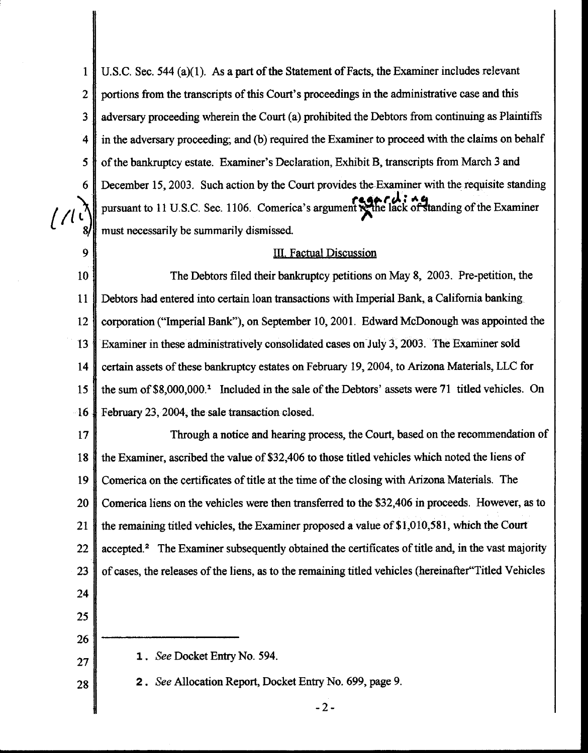1 | U.S.C. Sec. 544 (a)(1). As a part of the Statement of Facts, the Examiner includes relevant 2 portions from the transcripts of this Court's proceedings in the administrative case and this 3 adversary proceeding wherein the Court (a) prohibited the Debtors from continuing as Plaintiffs 4 in the adversary proceeding; and (b) required the Examiner to proceed with the claims on behalf 5 **| of the bankruptcy estate. Examiner's Declaration, Exhibit B, transcripts from March 3 and** 6 December 15, 2003. Such action by the Court provides the Examiner with the requisite standing pursuant to 11 U.S.C. Sec. 1106. Comerica's argument rethe lack of standing of the Examiner must necessarily be summarily dismissed.

## 9 III. Factual Discussion

10 The Debtors filed their bankruptcy petitions on May 8, 2003. Pre-petition, the 11 Debtors had entered into certain loan transactions with Imperial Bank, a California banking 12 corporation ("Imperial Bank"), on September 10, 2001. Edward McDonough was appointed the 13 Examiner in these administratively consolidated cases on July 3, 2003. The Examiner sold 14 certain assets of these bankruptcy estates on February 19, 2004, to Arizona Materials, LLC for 15 || the sum of \$8,000,000.<sup>1</sup> Included in the sale of the Debtors' assets were 71 titled vehicles. On 16 February 23, 2004. the sale transaction closed.

17 Through a notice and hearing process, the Court, based on the recommendation of 18 the Examiner, ascribed the value of\$32.406 to those titled vehicles which noted the liens of 19 Comerica on the certificates of title at the time of the closing with Arizona Materials. The 20 Comerica liens on the vehicles were then transferred to the \$32,406 in proceeds. However, as to 21  $\parallel$  the remaining titled vehicles, the Examiner proposed a value of \$1,010,581, which the Court 22  $\parallel$  accepted.<sup>2</sup> The Examiner subsequently obtained the certificates of title and, in the vast majority 23 of cases, the releases of the liens, as to the remaining titled vehicles (hereinafter Titled Vehicles

- 24
- 25 26
- 1 . *See* Docket Entry No. 594.
- 27 28

2. *See* Allocation Report, Docket Entry No. 699, page 9.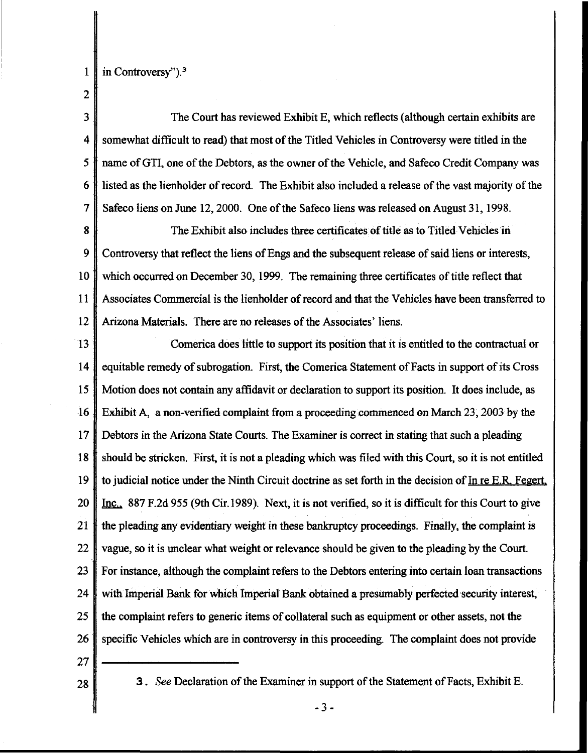- 1 in Controversy").<sup>3</sup>
- 2

3 The Court has reviewed Exhibit E, which reflects (although certain exhibits are 4 somewhat difficult to read) that most of the Titled Vehicles in Controversy were titled in the *5* name ofGTI, one of the Debtors, as the owner of the Vehicle, and Safeco Credit Company was 6 listed as the lienholder of record. The Exhibit also included a release of the vast majority of the 7 Safeco liens on June 12, 2000. One of the Safeco liens was released on August 31, 1998.

8 The Exhibit also includes three certificates of title as to Titled Vehicles in 9 Controversy that reflect the liens of Engs and the subsequent release of said liens or interests, 10 which occurred on December 30, 1999. The remaining three certificates of title reflect that 11 Associates Commercial is the lienholder of record and that the Vehicles have been transferred to 12 Arizona Materials. There are no releases of the Associates' liens.

13 Comerica does little to support its position that it is entitled to the contractual or 14 equitable remedy of subrogation. First, the Comerica Statement of Facts in support of its Cross 15 Motion does not contain any affidavit or declaration to support its position. It does include, as 16 Exhibit A, a non-verified complaint from a proceeding commenced on March 23,2003 by the 17 Debtors in the Arizona State Courts. The Examiner is correct in stating that such a pleading 18 should be stricken. First, it is not a pleading which was filed with this Court, so it is not entitled 19  $\parallel$  to judicial notice under the Ninth Circuit doctrine as set forth in the decision of In re E.R. Fegert. 20 | Inc., 887 F.2d 955 (9th Cir.1989). Next, it is not verified, so it is difficult for this Court to give 21  $\parallel$  the pleading any evidentiary weight in these bankruptcy proceedings. Finally, the complaint is 22 vague, so it is unclear what weight or relevance should be given to the pleading by the Court. 23 For instance, although the complaint refers to the Debtors entering into certain loan transactions 24 with Imperial Bank for which Imperial Bank obtained a presumably perfected security interest, 25 the complaint refers to generic items of collateral such as equipment or other assets, not the 26 Specific Vehicles which are in controversy in this proceeding. The complaint does not provide

- 27
- 

28 3. *See* Declaration of the Examiner in support of the Statement of Facts, Exhibit E.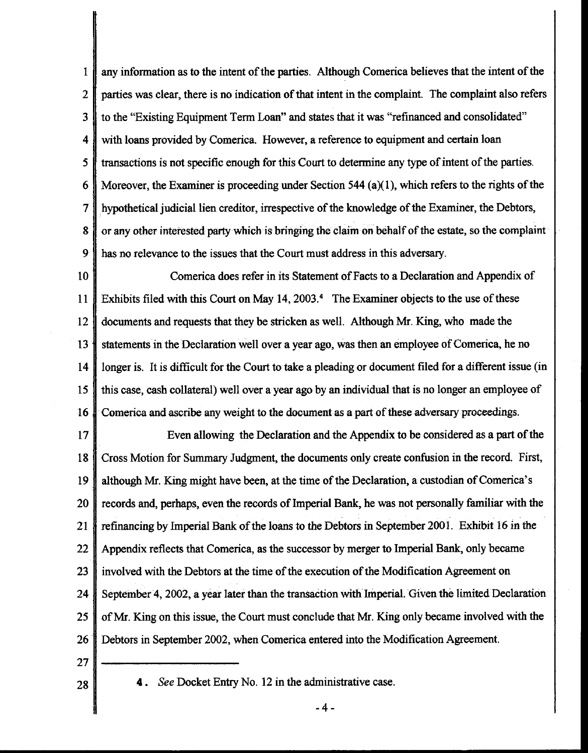1 any information as to the intent of the parties. Although Comerica believes that the intent of the 2 parties was clear, there is no indication of that intent in the complaint. The complaint also refers 3 to the "Existing Equipment Term Loan" and states that it was "refinanced and consolidated" 4 with loans provided by Comerica. However, a reference to equipment and certain loan 5 transactions is not specific enough for this Court to determine any type of intent of the parties. 6 Moreover, the Examiner is proceeding under Section 544 (a)(1), which refers to the rights of the 7 hypothetical judicial lien creditor, irrespective of the knowledge of the Examiner, the Debtors, 8 | or any other interested party which is bringing the claim on behalf of the estate, so the complaint 9 has no relevance to the issues that the Court must address in this adversary.

10 Comerica does refer in its Statement of Facts to a Declaration and Appendix of 11 Exhibits filed with this Court on May 14, 2003. 4 The Examiner objects to the use of these 12 documents and requests that they be stricken as well. Although Mr. King, who made the 13 statements in the Declaration well over a year ago, was then an employee of Comerica, he no 14 longer is. It is difficult for the Court to take a pleading or document filed for a different issue (in 15 this case, cash collateral) well over a year ago by an individual that is no longer an employee of 16 Comerica and ascribe any weight to the document as a part of these adversary proceedings.

17 Even allowing the Declaration and the Appendix to be considered as a part of the 18 Cross Motion for Summary Judgment, the documents only create confusion in the record. First, 19 although Mr. King might have been, at the time of the Declaration, a custodian of Comerica's 20 records and, perhaps, even the records of Imperial Bank, he was not personally familiar with the 21 refinancing by Imperial Bank of the loans to the Debtors in September 2001. Exhibit 16 in the 22 Appendix reflects that Comerica, as the successor by merger to Imperial Bank, only became 23 involved with the Debtors at the time of the execution of the Modification Agreement on 24 September 4, 2002, a year later than the transaction with Imperial. Given the limitedDeclaration 25 of Mr. King on this issue, the Court must conclude that Mr. King only became involved with the 26 | Debtors in September 2002, when Comerica entered into the Modification Agreement.

27

28 **4.** *See* Docket Entry No. 12 in the administrative case.

-4-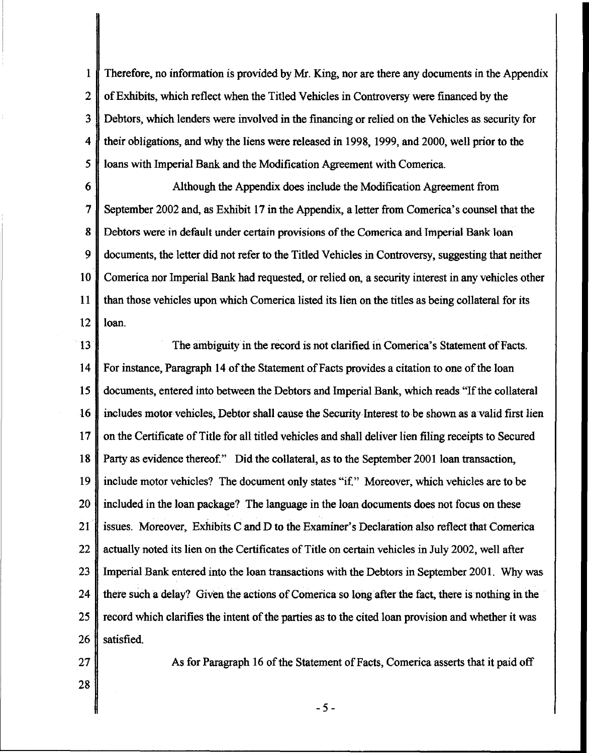1 Therefore, no information is provided by Mr. King, nor are there any documents in the Appendix 2 of Exhibits, which reflect when the Titled Vehicles in Controversy were financed by the 3 Debtors, which lenders were involved in the fmancing or relied on the Vehicles as security for 4 their obligations, and why the liens were released in 1998, 1999, and 2000, well prior to the *5* loans with Imperial Bank and the Modification Agreement with Comerica.

6 Although the Appendix does include the Modification Agreement from 7 September 2002 and, as Exhibit 17 in the Appendix, a letter from Comerica's counsel that the 8 Debtors were in default under certain provisions of the Comerica and Imperial Bank loan 9 documents, the letter did not refer to the Titled Vehicles in Controversy, suggesting that neither 10 Comerica nor Imperial Bank had requested, or relied on, a security interest in any vehicles other 11 than those vehicles upon which Comerica listed its lien on the titles as being collateral for its 12 loan.

13 The ambiguity in the record is not clarified in Comerica's Statement of Facts. 14 For instance, Paragraph 14 of the Statement of Facts provides a citation to one of the loan 15 documents, entered into between the Debtors and Imperial Bank, which reads "If the collateral 16 includes motor vehicles, Debtor shall cause the Security Interest to be shown as a valid first lien 17 on the Certificate of Title for all titled vehicles and shall deliver lien filing receipts to Secured 18 Party as evidence thereof." Did the collateral, as to the September 2001 loan transaction, 19 include motor vehicles? The document only states "if." Moreover, which vehicles are to be 20 included in the loan package? The language in the loan documents does not focus on these 21  $\parallel$  issues. Moreover, Exhibits C and D to the Examiner's Declaration also reflect that Comerica 22 actually noted its lien on the Certificates of Title on certain vehicles in July 2002, well after 23 Imperial Bank entered into the loan transactions with the Debtors in September 2001. Why was 24  $\parallel$  there such a delay? Given the actions of Comerica so long after the fact, there is nothing in the 25  $\parallel$  record which clarifies the intent of the parties as to the cited loan provision and whether it was 26 satisfied.

28

27 As for Paragraph 16 of the Statement of Facts, Comerica asserts that it paid off

-5-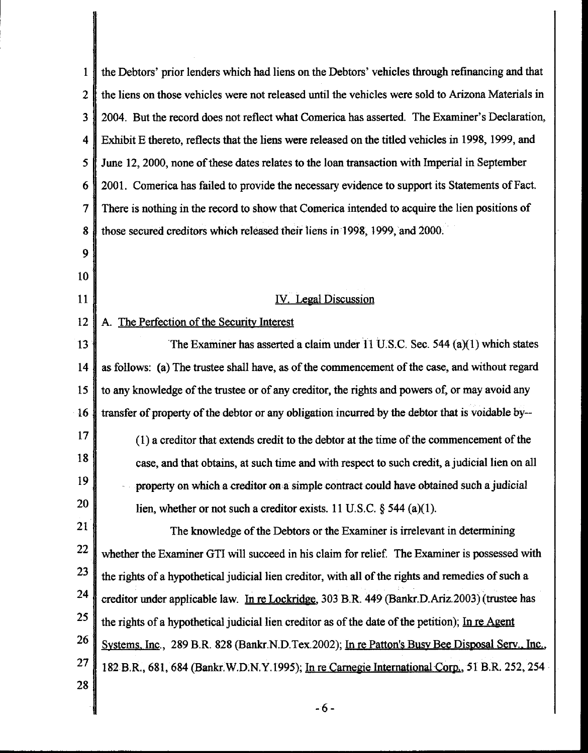| 1              | the Debtors' prior lenders which had liens on the Debtors' vehicles through refinancing and that   |  |
|----------------|----------------------------------------------------------------------------------------------------|--|
| $\overline{2}$ | the liens on those vehicles were not released until the vehicles were sold to Arizona Materials in |  |
| 3              | 2004. But the record does not reflect what Comerica has asserted. The Examiner's Declaration,      |  |
| 4              | Exhibit E thereto, reflects that the liens were released on the titled vehicles in 1998, 1999, and |  |
| 5              | June 12, 2000, none of these dates relates to the loan transaction with Imperial in September      |  |
| 6              | 2001. Comerica has failed to provide the necessary evidence to support its Statements of Fact.     |  |
| 7              | There is nothing in the record to show that Comerica intended to acquire the lien positions of     |  |
| 8              | those secured creditors which released their liens in 1998, 1999, and 2000.                        |  |
| 9              |                                                                                                    |  |
| 10             |                                                                                                    |  |
| 11             | IV. Legal Discussion                                                                               |  |
| 12             | A. The Perfection of the Security Interest                                                         |  |
| 13             | The Examiner has asserted a claim under $11$ U.S.C. Sec. 544 (a) $(1)$ which states                |  |
| 14             | as follows: (a) The trustee shall have, as of the commencement of the case, and without regard     |  |
| 15             | to any knowledge of the trustee or of any creditor, the rights and powers of, or may avoid any     |  |
| 16             | transfer of property of the debtor or any obligation incurred by the debtor that is voidable by-   |  |
| 17             | (1) a creditor that extends credit to the debtor at the time of the commencement of the            |  |
| 18             | case, and that obtains, at such time and with respect to such credit, a judicial lien on all       |  |
| 19             | property on which a creditor on a simple contract could have obtained such a judicial              |  |
| 20             | lien, whether or not such a creditor exists. 11 U.S.C. $\S$ 544 (a)(1).                            |  |
| 21             | The knowledge of the Debtors or the Examiner is irrelevant in determining                          |  |
| 22             | whether the Examiner GTI will succeed in his claim for relief. The Examiner is possessed with      |  |
| 23             | the rights of a hypothetical judicial lien creditor, with all of the rights and remedies of such a |  |
| 24             | creditor under applicable law. In re Lockridge, 303 B.R. 449 (Bankr.D.Ariz.2003) (trustee has      |  |
| 25             | the rights of a hypothetical judicial lien creditor as of the date of the petition); In re Agent   |  |
| 26             | Systems, Inc., 289 B.R. 828 (Bankr.N.D.Tex.2002); In re Patton's Busy Bee Disposal Serv., Inc.,    |  |
| <b>27</b>      | 182 B.R., 681, 684 (Bankr.W.D.N.Y.1995); In re Carnegie International Corp., 51 B.R. 252, 254      |  |
| 28             |                                                                                                    |  |
|                | $-6-$                                                                                              |  |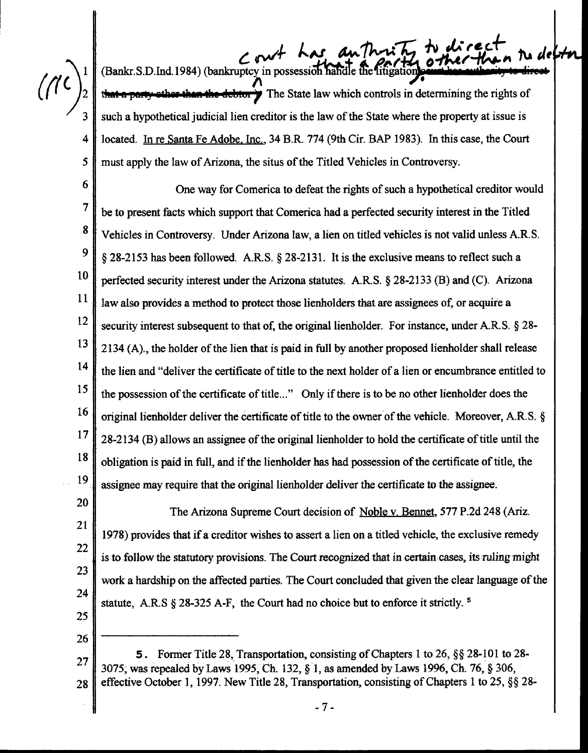3

*5* 

 $c$  out has authority (Bankr.S.D.Ind.1984) (bankruptcy in possession handle the litigation) **count has outherity to direct than the debtor <b>3** The State law which controls in determining the rights of such a hypothetical judicial lien creditor is the law of the State where the property at issue is 4 located. In re Santa Fe Adobe. Inc., 34 B.R. 774 (9th Cir. BAP 1983). In this case, the Court must apply the law of Arizona, the situs of the Titled Vehicles in Controversy.

6 One way for Comerica to defeat the rights of such a hypothetical creditor would  $7 \parallel$  be to present facts which support that Comerica had a perfected security interest in the Titled 8 Vehicles in Controversy. Under Arizona law, a lien on titled vehicles is not valid unless A.R.S. 9 § 28-2153 has been followed. A.R.S. § 28-2131. It is the exclusive means to reflect such a 10 perfected security interest under the Arizona statutes. A.R.S. § 28-2133 (B) and (C). Arizona 11 12 law also provides a method to protect those lienholders that are assignees of, or acquire a security interest subsequent to that of, the original lienholder. For instance, under A.R.S. § 28-13 | 2134 (A), the holder of the lien that is paid in full by another proposed lienholder shall release <sup>14</sup> the lien and "deliver the certificate of title to the next holder of a lien or encumbrance entitled to <sup>15</sup> the possession of the certificate of title..." Only if there is to be no other lienholder does the 16 original lienholder deliver the certificate of title to the owner of the vehicle. Moreover, A.R.S. §  $17 \parallel 28-2134$  (B) allows an assignee of the original lienholder to hold the certificate of title until the  $\frac{18}{\sqrt{18}}$  obligation is paid in full, and if the lienholder has had possession of the certificate of title, the 19 assignee may require that the original lienholder deliver the certificate to the assignee.

20 21 22 23 24 The Arizona Supreme Court decision of Noble v. Bennet, 577 P.2d 248 (Ariz. 1978) provides that if a creditor wishes to assert a lien on a titled vehicle, the exclusive remedy is to follow the statutory provisions. The Court recognized that in certain cases, its ruling might work a hardship on the affected parties. The Court concluded that given the clear language of the statute, A.R.S  $\S 28-325$  A-F, the Court had no choice but to enforce it strictly.<sup>5</sup>

25 26

5. Former Title 28, Transportation, consisting of Chapters 1 to 26, §§ 28-101 to 28- $27 \parallel$  3075, was repealed by Laws 1995, Ch. 132, § 1, as amended by Laws 1996, Ch. 76, § 306, 28 effective October 1, 1997. New Title 28, Transportation, consisting of Chapters 1 to 25, §§ 28-

-7-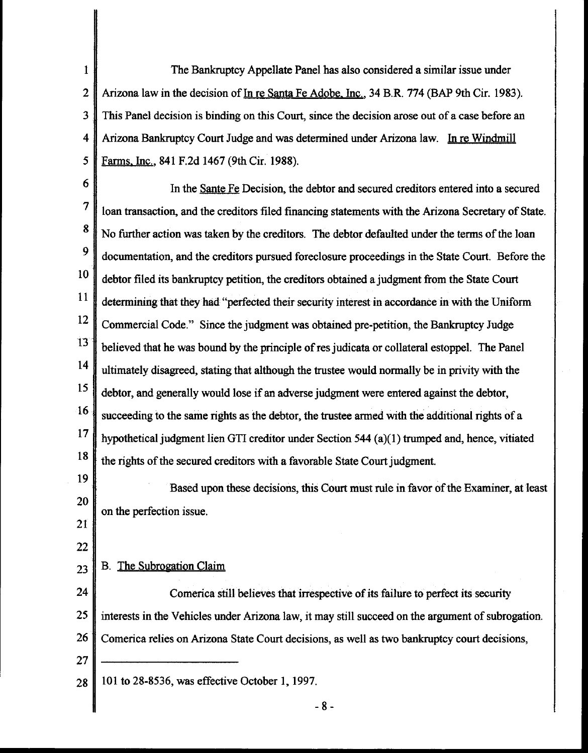1 The Bankruptcy Appellate Panel has also considered a similar issue under 2 Arizona law in the decision of In re Santa Fe Adobe. Inc., 34 B.R. 774 (BAP 9th Cir. 1983). 3 This Panel decision is binding on this Court, since the decision arose out of a case before an 4 Arizona Bankruptcy Court Judge and was determined under Arizona law. In re Windmill 5 Farms. Inc., 841 F.2d 1467 (9th Cir. 1988).

6 In the Sante Fe Decision, the debtor and secured creditors entered into a secured 7 loan transaction, and the creditors filed financing statements with the Arizona Secretary of State. <sup>8</sup> No further action was taken by the creditors. The debtor defaulted under the terms of the loan 9 documentation, and the creditors pursued foreclosure proceedings in the State Court. Before the 10 11 12 l3 debtor filed its bankruptcy petition, the creditors obtained a judgment from the State Court determining that they had "perfected their security interest in accordance in with the Uniform Commercial Code." Since the judgment was obtained pre-petition, the Bankruptcy Judge believed that he was bound by the principle of res judicata or collateral estoppel. The Panel <sup>14</sup> ultimately disagreed, stating that although the trustee would normally be in privity with the <sup>15</sup> debtor, and generally would lose if an adverse judgment were entered against the debtor,  $\begin{array}{c|c} 16 \end{array}$  succeeding to the same rights as the debtor, the trustee armed with the additional rights of a 17 hypothetical judgment lien GTI creditor under Section 544 (a)( 1) trumped and, hence, vitiated  $18 \parallel$  the rights of the secured creditors with a favorable State Court judgment.

19 20 Based upon these decisions, this Court must rule in favor of the Examiner, at least on the perfection issue.

21 22

## $23$  B. The Subrogation Claim

24 Comerica still believes that irrespective of its failure to perfect its security 25 interests in the Vehicles under Arizona law, it may still succeed on the argument of subrogation. 26 Comerica relies on Arizona State Court decisions, as well as two bankruptcy court decisions, 27

28 101 to 28-8536, was effective October 1, 1997.

- 8-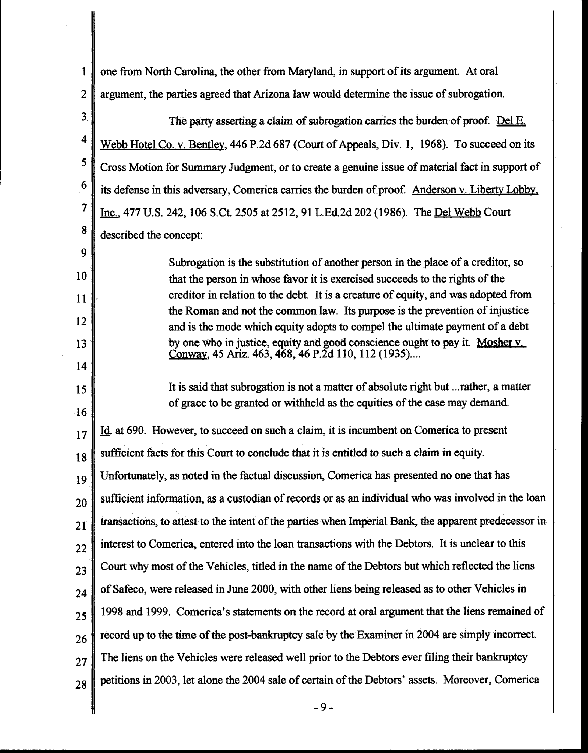1 2 3 one from North Carolina, the other from Maryland, in support of its argument. At oral argument, the parties agreed that Arizona law would determine the issue of subrogation. The party asserting a claim of subrogation carries the burden of proof. Del E. <sup>4</sup> Webb Hotel Co. y. Bentley, 446 P.2d 687 (Court of Appeals, Div. 1, 1968). To succeed on its 5 6 Cross Motion for Summary Judgment, or to create a genuine issue of material fact in support of its defense in this adversary, Comerica carries the burden of proof. Anderson v. Liberty Lobby. 7 Inc., 477 U.S. 242, 106 S.Ct. 2505 at 2512, 91 L.Ed.2d 202 (1986). The Del Webb Court 8 described the concept: 9 10 11 12  $13$ 14 15 16 Subrogation is the substitution of another person in the place of a creditor, so that the person in whose favor it is exercised succeeds to the rights of the creditor in relation to the debt. It is a creature of equity, and was adopted from the Roman and not the common law. Its purpose is the prevention of injustice and is the mode which equity adopts to compel the ultimate payment of a debt by one Who in justice, equity and good conscience ought to pay it. Mosher y. Conway, 45 Ariz. 463, 468, 46 P.2d 110, 112 (1935).... It is said that subrogation is not a matter of absolute right but ... rather, a matter of grace to be granted or withheld as the equities of the case may demand.  $17$   $\overline{10}$ . At 690. However, to succeed on such a claim, it is incumbent on Comerica to present  $18$  sufficient facts for this Court to conclude that it is entitled to such a claim in equity.  $19 \parallel$  Unfortunately, as noted in the factual discussion, Comerica has presented no one that has  $20 \text{ }$  sufficient information, as a custodian of records or as an individual who was involved in the loan  $21$  transactions, to attest to the intent of the parties when Imperial Bank, the apparent predecessor in  $22$  interest to Comerica, entered into the loan transactions with the Debtors. It is unclear to this  $23$  Court why most of the Vehicles, titled in the name of the Debtors but which reflected the liens  $_{24}$  of Safeco, were released in June 2000, with other liens being released as to other Vehicles in  $25$  1998 and 1999. Comerica's statements on the record at oral argument that the liens remained of  $26$  record up to the time of the post-bankruptcy sale by the Examiner in 2004 are simply incorrect.  $27$  The liens on the Vehicles were released well prior to the Debtors ever filing their bankruptcy  $28$  petitions in 2003, let alone the 2004 sale of certain of the Debtors' assets. Moreover, Comerica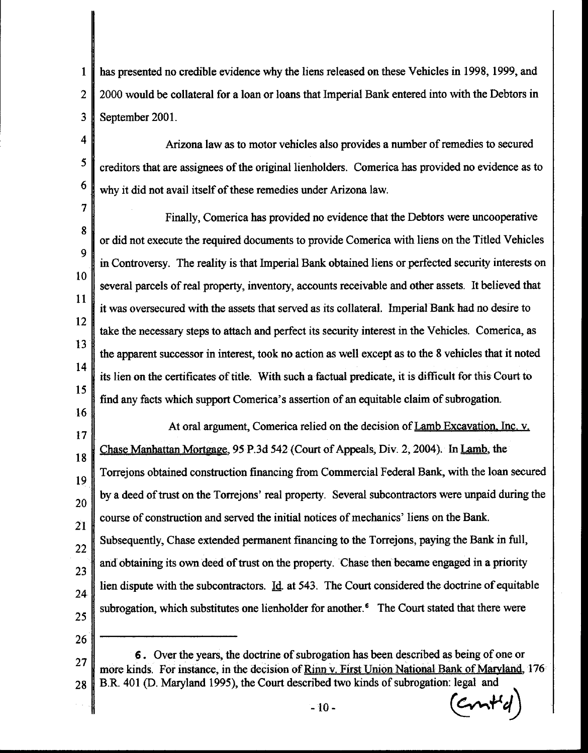1 2 3 has presented no credible evidence why the liens released on these Vehicles in 1998, 1999, and 2000 would be collateral for a loan or loans that Imperial Bank entered into with the Debtors in September 2001.

4 5 6 Arizona law as to motor vehicles also provides a number of remedies to secured creditors that are assignees of the original lienholders. Comerica has provided no evidence as to why it did not avail itself of these remedies under Arizona law.

7 *8*  9 10 11 12 13 14 15 Finally, Comerica has provided no evidence that the Debtors were uncooperative or did not execute the required documents to provide Comerica with liens on the Titled Vehicles in Controversy. The reality is that Imperial Bank obtained liens or perfected security interests on several parcels of real property, inventory, accounts receivable and other assets. It believed that it was oversecured with the assets that served as its collateral. Imperial Bank had no desire to take the necessary steps to attach and perfect its security interest in the Vehicles. Comerica, as the apparent successor in interest, took no action as well except as to the 8 vehicles that it noted its lien on the certificates of title. With such a factual predicate, it is difficult for this Court to find any facts which support Comerica's assertion of an equitable claim of subrogation.

17 18 At oral argument, Comerica relied on the decision of Lamb Excavation. Inc. v. Chase Manhattan Mortgage, 95 P.3d 542 (Court of Appeals, Div. 2, 2004). In Lamb, the <sup>19</sup>Torrejons obtained construction financing from Commercial Federal Bank, with the loan secured  $20$  by a deed of trust on the Torrejons' real property. Several subcontractors were unpaid during the 21 22 23 24 25 course of construction and served the initial notices of mechanics' liens on the Bank. Subsequently, Chase extended permanent financing to the Torrejons, paying the Bank in full, and obtaining its own deed of trust on the property. Chase then became engaged in a priority lien dispute with the subcontractors.  $\underline{Id}$  at 543. The Court considered the doctrine of equitable subrogation, which substitutes one lienholder for another.<sup>6</sup> The Court stated that there were

26

16

 $-10 ($   $\alpha$ m<sup>4</sup> $d$ 

<sup>27</sup> 6 . Over the years, the doctrine of subrogation has been described as being of one or more kinds. For instance, in the decision of Rinn v. First Union National Bank of Maryland, 176 28 B.R. 401 (D. Maryland 1995), the Court described two kinds of subrogation: legal and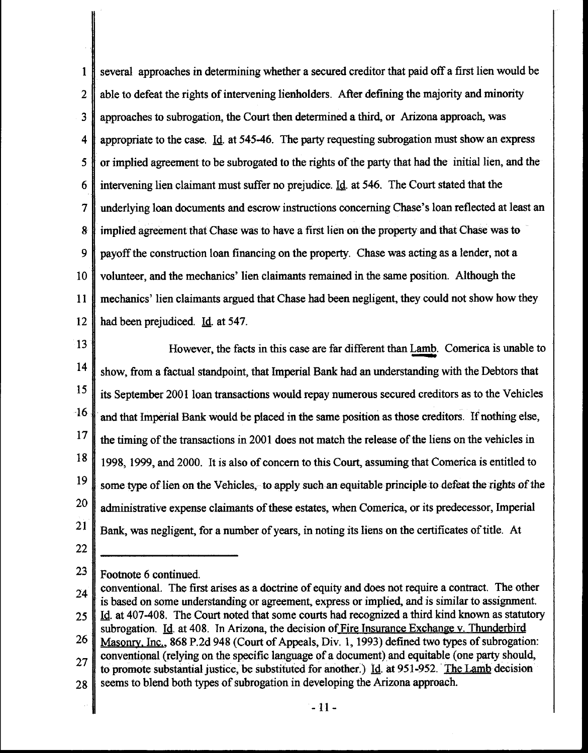1 several approaches in determining whether a secured creditor that paid off a first lien would be 2 able to defeat the rights of intervening lienholders. After defining the majority and minority 3 approaches to subrogation, the Court then determined a third, or Arizona approach, was 4 appropriate to the case. Id. at 545-46. The party requesting subrogation must show an express 5 **f** or implied agreement to be subrogated to the rights of the party that had the initial lien, and the 6 intervening lien claimant must suffer no prejudice. IQ. at 546. The Court stated that the 7 underlying loan documents and escrow instructions concerning Chase's loan reflected at least an 8 implied agreement that Chase was to have a first lien on the property and that Chase was to 9 payoff the construction loan financing on the property. Chase was acting as a lender, not a 10 volunteer, and the mechanics' lien claimants remained in the same position. Although the 11 mechanics' lien claimants argued that Chase had been negligent, they could not show how they 12 | had been prejudiced. Id. at 547.

13 14 15 However, the facts in this case are far different than Lamb. Comerica is unable to show, from a factual standpoint, that Imperial Bank had an understanding with the Debtors that its September 2001 loan transactions would repay numerous secured creditors as to the Vehicles 1 and that Imperial Bank would be placed in the same position as those creditors. If nothing else,  $17 \parallel$  the timing of the transactions in 2001 does not match the release of the liens on the vehicles in <sup>18</sup> 1998, 1999, and 2000. It is also of concern to this Court, assuming that Comerica is entitled to 19 some type of lien on the Vehicles, to apply such an equitable principle to defeat the rights of the  $20$  administrative expense claimants of these estates, when Comerica, or its predecessor, Imperial 21 Bank, was negligent, for a number of years, in noting its liens on the certificates of title. At

22

23 | Footnote 6 continued.

 $24$  conventional. The first arises as a doctrine of equity and does not require a contract. The other is based on some understanding or agreement, express or implied, and is similar to assignment. 25  $\parallel$  Id. at 407-408. The Court noted that some courts had recognized a third kind known as statutory

subrogation. Id. at 408. In Arizona, the decision of Fire Insurance Exchange v. Thunderbird 26 Masonry. Inc., 868 P.2d 948 (Court of Appeals, Div. 1, 1993) defined two types of subrogation: conventional (relying on the specific language of a document) and equitable (one party should, to promote substantial justice, be substituted for another.)  $\text{Id}$  at 951-952. The Lamb decision

 $28$  seems to blend both types of subrogation in developing the Arizona approach.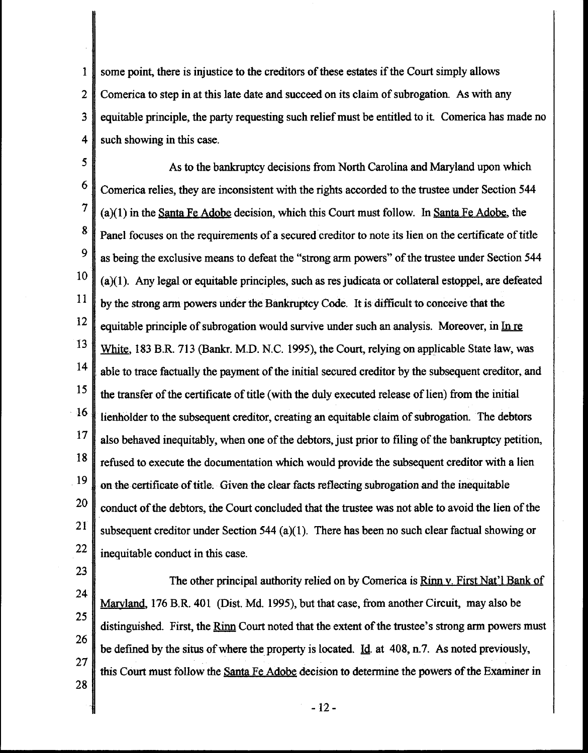1 2 3 4 some point, there is injustice to the creditors of these estates if the Court simply allows Comerica to step in at this late date and succeed on its claim of subrogation. As with any equitable principle, the party requesting such relief must be entitled to it. Comerica has made no such showing in this case.

*5*  As to the bankruptcy decisions from North Carolina and Maryland upon which <sup>6</sup> Comerica relies, they are inconsistent with the rights accorded to the trustee under Section 544 7 (a)(1) in the Santa Fe Adobe decision, which this Court must follow. In Santa Fe Adobe, the <sup>8</sup> Panel focuses on the requirements of a secured creditor to note its lien on the certificate of title <sup>9</sup> as being the exclusive means to defeat the "strong arm powers" of the trustee under Section 544  $\|10\|$  (a)(1). Any legal or equitable principles, such as res judicata or collateral estoppel, are defeated  $\begin{bmatrix} 11 \\ 1 \end{bmatrix}$  by the strong arm powers under the Bankruptcy Code. It is difficult to conceive that the  $12 \parallel$  equitable principle of subrogation would survive under such an analysis. Moreover, in In re 13 White, 183 B.R. 713 (Bankr. M.D. N.C. 1995), the Court, relying on applicable State law, was  $14 \parallel$  able to trace factually the payment of the initial secured creditor by the subsequent creditor, and <sup>15</sup> the transfer of the certificate of title (with the duly executed release of lien) from the initial  $16$  lienholder to the subsequent creditor, creating an equitable claim of subrogation. The debtors  $\frac{17}{10}$  also behaved inequitably, when one of the debtors, just prior to filing of the bankruptcy petition,  $18 \parallel$  refused to execute the documentation which would provide the subsequent creditor with a lien  $19 \parallel$  on the certificate of title. Given the clear facts reflecting subrogation and the inequitable <sup>20</sup> conduct of the debtors, the Court concluded that the trustee was not able to avoid the lien of the <sup>21</sup> subsequent creditor under Section 544 (a)(1). There has been no such clear factual showing or  $22$  inequitable conduct in this case.

23

24 25 26 27 The other principal authority relied on by Comerica is Rinn v. First Nat'l Bank of Maryland, 176 B.R. 401 (Dist. Md. 1995), but that case, from another Circuit, may also be distinguished. First, the Rinn Court noted that the extent of the trustee's strong arm powers must be defined by the situs of where the property is located. Id. at 408, n.7. As noted previously, this Court must follow the Santa Fe Adobe decision to determine the powers of the Examiner in

28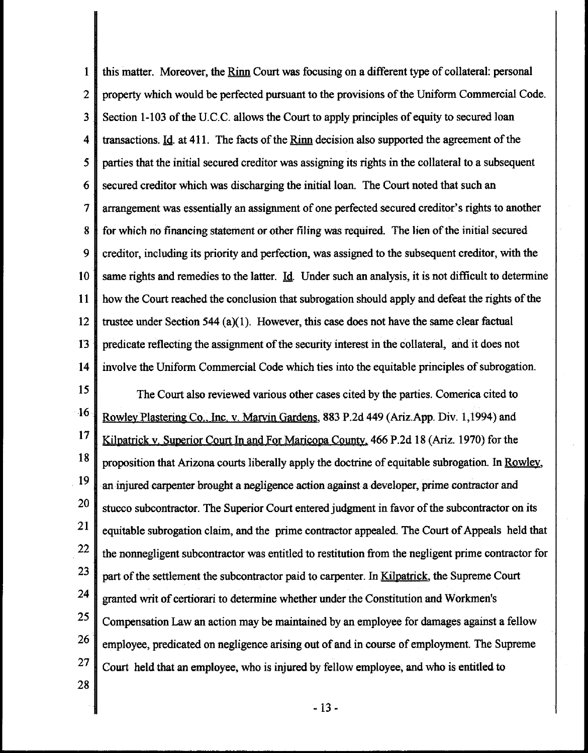1 this matter. Moreover, the Rinn Court was focusing on a different type of collateral: personal 2 property which would be perfected pursuant to the provisions of the Uniform Commercial Code. 3 Section 1-103 ofthe U.C.C. allows the Court to apply principles of equity to secured loan 4 transactions. Id. at 411. The facts of the Rinn decision also supported the agreement of the *5* parties that the initial secured creditor was assigning its rights in the collateral to a subsequent 6 secured creditor which was discharging the initial loan. The Court noted that such an 7 arrangement was essentially an assignment of one perfected secured creditor's rights to another 8 for which no financing statement or other filing was required. The lien of the initial secured 9 creditor, including its priority and perfection, was assigned to the subsequent creditor, with the 10 same rights and remedies to the latter. Id. Under such an analysis, it is not difficult to determine 11 how the Court reached the conclusion that subrogation should apply and defeat the rights of the 12 trustee under Section 544 (a)(1). However, this case does not have the same clear factual 13 predicate reflecting the assignment of the security interest in the collateral, and it does not 14 involve the Uniform Commercial Code which ties into the equitable principles of subrogation.

<sup>15</sup> The Court also reviewed various other cases cited by the parties. Comerica cited to 16 Rowley Plastering Co., Inc. v. Marvin Gardens, 883 P.2d 449 (Ariz.App. Div. 1,1994) and 17 Kilpatrick v. Superior Court In and For Maricopa County. 466 P.2d 18 (Ariz. 1970) for the  $18 \parallel$  proposition that Arizona courts liberally apply the doctrine of equitable subrogation. In Rowley, . 19 20 21 an injured carpenter brought a negligence action against a developer, prime contractor and stucco subcontractor. The Superior Court entered judgment in favor of the subcontractor on its equitable subrogation claim, and the prime contractor appealed. The Court of Appeals held that  $22 \parallel$  the nonnegligent subcontractor was entitled to restitution from the negligent prime contractor for 23 24 25 part of the settlement the subcontractor paid to carpenter. In Kilpatrick, the Supreme Court granted writ of certiorari to determine whether under the Constitution and Workmen's Compensation Law an action may be maintained by an employee for damages against a fellow  $26$  employee, predicated on negligence arising out of and in course of employment. The Supreme  $27$  Court held that an employee, who is injured by fellow employee, and who is entitled to

28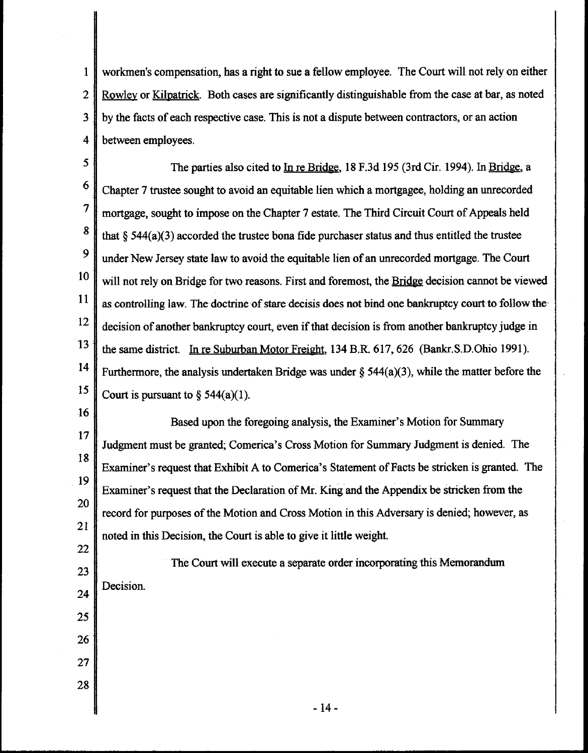1 workmen's compensation, has a right to sue a fellow employee. The Court will not rely on either 2 Rowley or Kilpatrick. Both cases are significantly distinguishable from the case at bar, as noted 3 by the facts of each respective case. This is not a dispute between contractors, or an action 4 between employees.

5 The parties also cited to In re Bridge, 18 F.3d 195 (3rd Cir. 1994). In Bridge, a  $6 \parallel$  Chapter 7 trustee sought to avoid an equitable lien which a mortgagee, holding an unrecorded 7 mortgage, sought to impose on the Chapter 7 estate. The Third Circuit Court of Appeals held 8 that § 544(a)(3) accorded the trustee bona fide purchaser status and thus entitled the trustee 9 under New Jersey state law to avoid the equitable lien of an unrecorded mortgage. The Court  $10\parallel$  will not rely on Bridge for two reasons. First and foremost, the Bridge decision cannot be viewed  $\begin{array}{c|c} 11 & \text{as controlling law.} \end{array}$  The doctrine of stare decisis does not bind one bankruptcy court to follow the- $\frac{12}{\pi}$  decision of another bankruptcy court, even if that decision is from another bankruptcy judge in  $13$  the same district. In re Suburban Motor Freight, 134 B.R. 617, 626 (Bankr.S.D.Ohio 1991). 14 Furthermore, the analysis undertaken Bridge was under § 544(a)(3), while the matter before the 15 Court is pursuant to  $\S$  544(a)(1).

16 17 18 Based upon the foregoing analysis, the Examiner's Motion for Summary Judgment must be granted; Comerica's Cross Motion for Summary Judgment is denied. The Examiner's request that Exhibit A to Comerica's Statement of Facts be stricken is granted. The 19 Examiner's request that the Declaration of Mr. King and the Appendix be stricken from the 20 21 record for purposes of the Motion and Cross Motion in this Adversary is denied; however, as noted in this Decision, the Court is able to give it little weight.

22 23 24 25 The Court will execute a separate order incorporating this Memorandum Decision.

26

27

28

- 14-